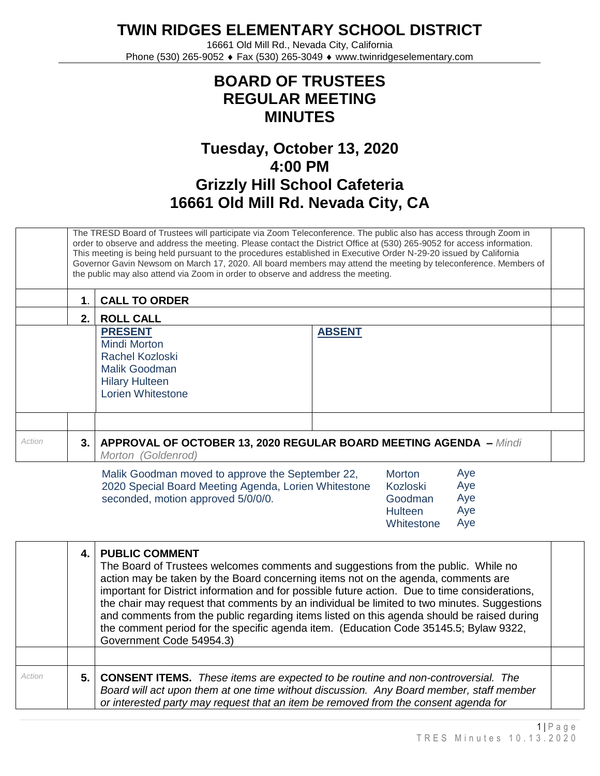**TWIN RIDGES ELEMENTARY SCHOOL DISTRICT**

16661 Old Mill Rd., Nevada City, California Phone (530) 265-9052 ♦ Fax (530) 265-3049 ♦ www.twinridgeselementary.com

## **BOARD OF TRUSTEES REGULAR MEETING MINUTES**

## **Tuesday, October 13, 2020 4:00 PM Grizzly Hill School Cafeteria 16661 Old Mill Rd. Nevada City, CA**

|        |    | The TRESD Board of Trustees will participate via Zoom Teleconference. The public also has access through Zoom in<br>order to observe and address the meeting. Please contact the District Office at (530) 265-9052 for access information.<br>This meeting is being held pursuant to the procedures established in Executive Order N-29-20 issued by California<br>Governor Gavin Newsom on March 17, 2020. All board members may attend the meeting by teleconference. Members of<br>the public may also attend via Zoom in order to observe and address the meeting. |  |  |  |  |
|--------|----|------------------------------------------------------------------------------------------------------------------------------------------------------------------------------------------------------------------------------------------------------------------------------------------------------------------------------------------------------------------------------------------------------------------------------------------------------------------------------------------------------------------------------------------------------------------------|--|--|--|--|
|        | 1. | <b>CALL TO ORDER</b>                                                                                                                                                                                                                                                                                                                                                                                                                                                                                                                                                   |  |  |  |  |
|        | 2. | <b>ROLL CALL</b>                                                                                                                                                                                                                                                                                                                                                                                                                                                                                                                                                       |  |  |  |  |
|        |    | <b>ABSENT</b><br><b>PRESENT</b><br>Mindi Morton<br>Rachel Kozloski<br>Malik Goodman<br><b>Hilary Hulteen</b><br><b>Lorien Whitestone</b>                                                                                                                                                                                                                                                                                                                                                                                                                               |  |  |  |  |
| Action | 3. | <b>APPROVAL OF OCTOBER 13, 2020 REGULAR BOARD MEETING AGENDA - Mindi</b><br>Morton (Goldenrod)                                                                                                                                                                                                                                                                                                                                                                                                                                                                         |  |  |  |  |
|        |    | Aye<br>Malik Goodman moved to approve the September 22,<br><b>Morton</b><br>Ave<br>2020 Special Board Meeting Agenda Lorien Whitestone<br>Kozloski                                                                                                                                                                                                                                                                                                                                                                                                                     |  |  |  |  |

|                                                      | .              |     |
|------------------------------------------------------|----------------|-----|
| 2020 Special Board Meeting Agenda, Lorien Whitestone | Kozloski       | Aye |
| seconded, motion approved 5/0/0/0.                   | Goodman        | Aye |
|                                                      | <b>Hulteen</b> | Ave |
|                                                      | Whitestone     | Aye |

|        |     | <b>PUBLIC COMMENT</b><br>The Board of Trustees welcomes comments and suggestions from the public. While no<br>action may be taken by the Board concerning items not on the agenda, comments are<br>important for District information and for possible future action. Due to time considerations,<br>the chair may request that comments by an individual be limited to two minutes. Suggestions<br>and comments from the public regarding items listed on this agenda should be raised during<br>the comment period for the specific agenda item. (Education Code 35145.5; Bylaw 9322,<br>Government Code 54954.3) |  |
|--------|-----|---------------------------------------------------------------------------------------------------------------------------------------------------------------------------------------------------------------------------------------------------------------------------------------------------------------------------------------------------------------------------------------------------------------------------------------------------------------------------------------------------------------------------------------------------------------------------------------------------------------------|--|
|        |     |                                                                                                                                                                                                                                                                                                                                                                                                                                                                                                                                                                                                                     |  |
| Action | 5.1 | <b>CONSENT ITEMS.</b> These items are expected to be routine and non-controversial. The<br>Board will act upon them at one time without discussion. Any Board member, staff member<br>or interested party may request that an item be removed from the consent agenda for                                                                                                                                                                                                                                                                                                                                           |  |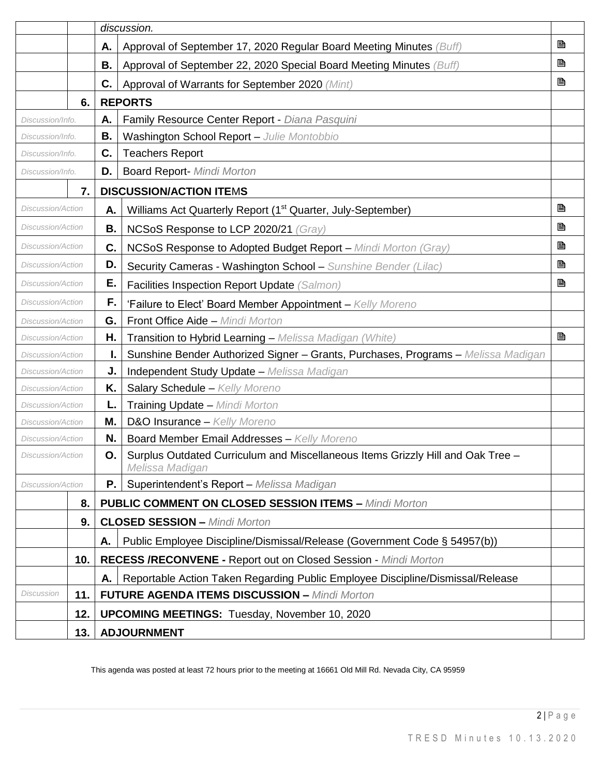|                          |           | discussion.                                                                                        |   |
|--------------------------|-----------|----------------------------------------------------------------------------------------------------|---|
|                          | А.        | Approval of September 17, 2020 Regular Board Meeting Minutes (Buff)                                | B |
|                          | <b>B.</b> | Approval of September 22, 2020 Special Board Meeting Minutes (Buff)                                | B |
|                          | C.        | Approval of Warrants for September 2020 (Mint)                                                     | B |
| 6.                       |           | <b>REPORTS</b>                                                                                     |   |
| Discussion/Info.         | А.        | Family Resource Center Report - Diana Pasquini                                                     |   |
| Discussion/Info.         | В.        | Washington School Report - Julie Montobbio                                                         |   |
| Discussion/Info.         | C.        | <b>Teachers Report</b>                                                                             |   |
| Discussion/Info.         | D.        | <b>Board Report- Mindi Morton</b>                                                                  |   |
| 7.                       |           | <b>DISCUSSION/ACTION ITEMS</b>                                                                     |   |
| <b>Discussion/Action</b> | А.        | Williams Act Quarterly Report (1 <sup>st</sup> Quarter, July-September)                            | B |
| Discussion/Action        | В.        | NCSoS Response to LCP 2020/21 (Gray)                                                               | B |
| <b>Discussion/Action</b> | C.        | NCSoS Response to Adopted Budget Report - Mindi Morton (Gray)                                      | B |
| Discussion/Action        | D.        | Security Cameras - Washington School - Sunshine Bender (Lilac)                                     | B |
| Discussion/Action        | Е.        | Facilities Inspection Report Update (Salmon)                                                       | B |
| <b>Discussion/Action</b> | F.        | 'Failure to Elect' Board Member Appointment - Kelly Moreno                                         |   |
| Discussion/Action        | G.        | Front Office Aide - Mindi Morton                                                                   |   |
| <b>Discussion/Action</b> | Η.        | Transition to Hybrid Learning - Melissa Madigan (White)                                            | B |
| Discussion/Action        |           | Sunshine Bender Authorized Signer - Grants, Purchases, Programs - Melissa Madigan                  |   |
| Discussion/Action        | J.        | Independent Study Update - Melissa Madigan                                                         |   |
| <b>Discussion/Action</b> | Κ.        | Salary Schedule - Kelly Moreno                                                                     |   |
| <b>Discussion/Action</b> | L.        | <b>Training Update - Mindi Morton</b>                                                              |   |
| <b>Discussion/Action</b> | Μ.        | D&O Insurance - Kelly Moreno                                                                       |   |
| Discussion/Action        | N.        | <b>Board Member Email Addresses - Kelly Moreno</b>                                                 |   |
| Discussion/Action        | Ο.        | Surplus Outdated Curriculum and Miscellaneous Items Grizzly Hill and Oak Tree -<br>Melissa Madigan |   |
| Discussion/Action        | <b>P.</b> | Superintendent's Report - Melissa Madigan                                                          |   |
| 8.                       |           | <b>PUBLIC COMMENT ON CLOSED SESSION ITEMS - Mindi Morton</b>                                       |   |
| 9.                       |           | <b>CLOSED SESSION - Mindi Morton</b>                                                               |   |
|                          | А.        | Public Employee Discipline/Dismissal/Release (Government Code § 54957(b))                          |   |
| 10.                      |           | <b>RECESS /RECONVENE - Report out on Closed Session - Mindi Morton</b>                             |   |
|                          | А.        | Reportable Action Taken Regarding Public Employee Discipline/Dismissal/Release                     |   |
| Discussion<br>11.        |           | <b>FUTURE AGENDA ITEMS DISCUSSION - Mindi Morton</b>                                               |   |
| 12.                      |           | <b>UPCOMING MEETINGS:</b> Tuesday, November 10, 2020                                               |   |
| 13.                      |           | <b>ADJOURNMENT</b>                                                                                 |   |

This agenda was posted at least 72 hours prior to the meeting at 16661 Old Mill Rd. Nevada City, CA 95959